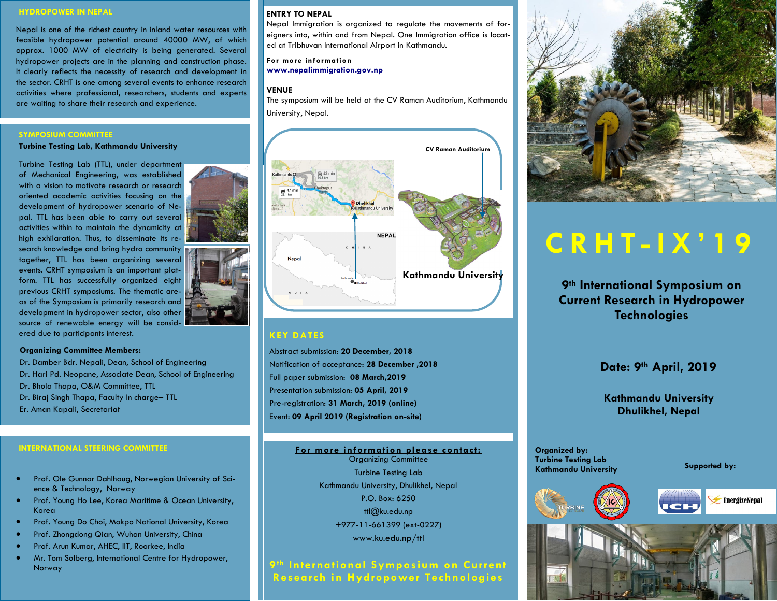#### **HYDROPOWER IN NEPAL**

Nepal is one of the richest country in inland water resources with feasible hydropower potential around 40000 MW, of which approx. 1000 MW of electricity is being generated. Several hydropower projects are in the planning and construction phase. It clearly reflects the necessity of research and development in the sector. CRHT is one among several events to enhance research activities where professional, researchers, students and experts are waiting to share their research and experience.

#### **SYMPOSIUM COMMITTEE**

**Turbine Testing Lab, Kathmandu University**

Turbine Testing Lab (TTL), under department of Mechanical Engineering, was established with a vision to motivate research or research oriented academic activities focusing on the development of hydropower scenario of Nepal. TTL has been able to carry out several activities within to maintain the dynamicity at high exhilaration. Thus, to disseminate its research knowledge and bring hydro community together, TTL has been organizing several events. CRHT symposium is an important platform. TTL has successfully organized eight previous CRHT symposiums. The thematic areas of the Symposium is primarily research and development in hydropower sector, also other source of renewable energy will be considered due to participants interest.

#### **Organizing Committee Members:**

Dr. Damber Bdr. Nepali, Dean, School of Engineering Dr. Hari Pd. Neopane, Associate Dean, School of Engineering Dr. Bhola Thapa, O&M Committee, TTL Dr. Biraj Singh Thapa, Faculty In charge– TTL Er. Aman Kapali, Secretariat

- Prof. Ole Gunnar Dahlhaug, Norwegian University of Science & Technology, Norway
- **•** Prof. Young Ho Lee, Korea Maritime & Ocean University, Korea
- **•** Prof. Young Do Choi, Mokpo National University, Korea
- **•** Prof. Zhongdong Qian, Wuhan University, China
- Prof. Arun Kumar, AHEC, IIT, Roorkee, India
- Mr. Tom Solberg, International Centre for Hydropower, Norway

#### **ENTRY TO NEPAL**

Nepal Immigration is organized to regulate the movements of foreigners into, within and from Nepal. One Immigration office is located at Tribhuvan International Airport in Kathmandu.

**For more information [www.nepalimmigration.gov.np](http://www.nepalimmigration.gov.np/)**

#### **VENUE**

The symposium will be held at the CV Raman Auditorium, Kathmandu University, Nepal.



#### **KEY DATES**

Abstract submission: **20 December, 2018** Notification of acceptance: **28 December ,2018** Full paper submission: **08 March,2019** Presentation submission: **05 April, 2019** Pre-registration: **31 March, 2019 (online)** Event: **09 April 2019 (Registration on-site)**

### INTERNATIONAL STEERING COMMITTEE *Decreement of the Community Community Community Community Community Community* **Community Community Community Community Community Community Community Community Community Community Communit**

Organizing Committee Turbine Testing Lab Kathmandu University, Dhulikhel, Nepal P.O. Box: 6250 ttl@ku.edu.np +977-11-661399 (ext-0227) www.ku.edu.np/ttl

**9th International Symposium on Current Research in Hydropower Technologies**



# **C R H T - I X ' 1 9**

**9th International Symposium on Current Research in Hydropower Technologies**

# **Date: 9th April, 2019**

**Kathmandu University Dhulikhel, Nepal**

**Turbine Testing Lab Kathmandu University**

**Supported by:**